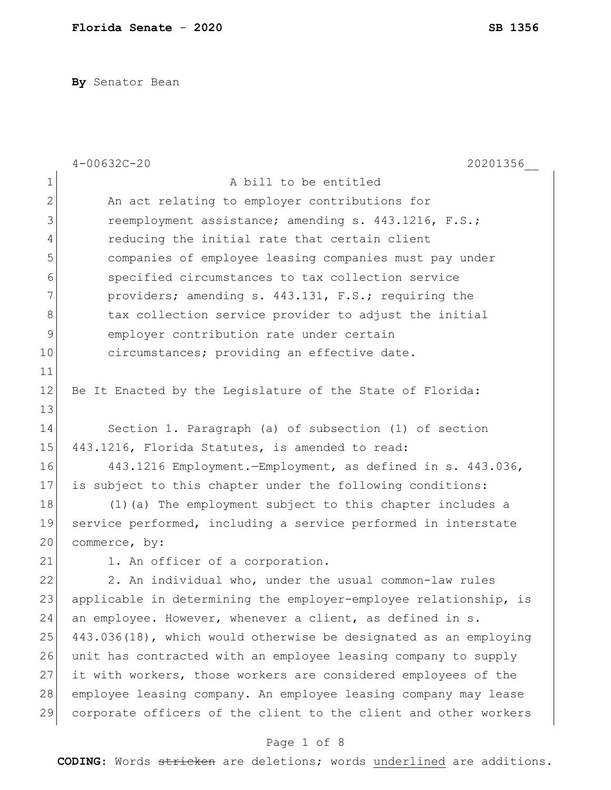**By** Senator Bean

|              | $4 - 00632C - 20$<br>20201356                                    |
|--------------|------------------------------------------------------------------|
| $\mathbf 1$  | A bill to be entitled                                            |
| $\mathbf{2}$ | An act relating to employer contributions for                    |
| 3            | reemployment assistance; amending s. 443.1216, F.S.;             |
| 4            | reducing the initial rate that certain client                    |
| 5            | companies of employee leasing companies must pay under           |
| 6            | specified circumstances to tax collection service                |
| 7            | providers; amending s. 443.131, F.S.; requiring the              |
| 8            | tax collection service provider to adjust the initial            |
| 9            | employer contribution rate under certain                         |
| 10           | circumstances; providing an effective date.                      |
| 11           |                                                                  |
| 12           | Be It Enacted by the Legislature of the State of Florida:        |
| 13           |                                                                  |
| 14           | Section 1. Paragraph (a) of subsection (1) of section            |
| 15           | 443.1216, Florida Statutes, is amended to read:                  |
| 16           | 443.1216 Employment.-Employment, as defined in s. 443.036,       |
| 17           | is subject to this chapter under the following conditions:       |
| 18           | (1) (a) The employment subject to this chapter includes a        |
| 19           | service performed, including a service performed in interstate   |
| 20           | commerce, by:                                                    |
| 21           | 1. An officer of a corporation.                                  |
| 22           | 2. An individual who, under the usual common-law rules           |
| 23           | applicable in determining the employer-employee relationship, is |
| 24           | an employee. However, whenever a client, as defined in s.        |
| 25           | 443.036(18), which would otherwise be designated as an employing |
| 26           | unit has contracted with an employee leasing company to supply   |
| 27           | it with workers, those workers are considered employees of the   |
| 28           | employee leasing company. An employee leasing company may lease  |
| 29           | corporate officers of the client to the client and other workers |
|              |                                                                  |

## Page 1 of 8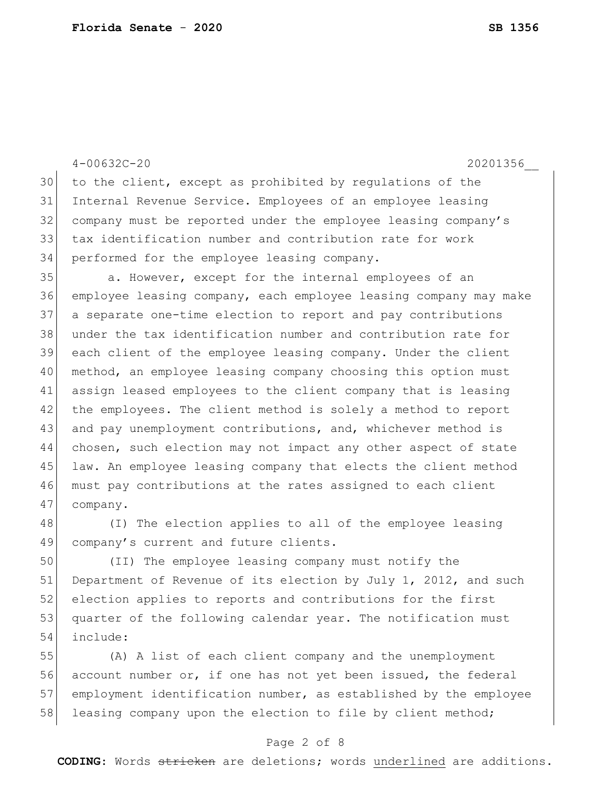|         | $4 - 00632C - 20$<br>20201356                                    |
|---------|------------------------------------------------------------------|
| 30      | to the client, except as prohibited by requlations of the        |
| 31      | Internal Revenue Service. Employees of an employee leasing       |
| 32      | company must be reported under the employee leasing company's    |
| 33      | tax identification number and contribution rate for work         |
| 34      | performed for the employee leasing company.                      |
| 35      | a. However, except for the internal employees of an              |
| 36      | employee leasing company, each employee leasing company may make |
| 37      | a separate one-time election to report and pay contributions     |
| 38      | under the tax identification number and contribution rate for    |
| 39      | each client of the employee leasing company. Under the client    |
| 40      | method, an employee leasing company choosing this option must    |
| 41      | assign leased employees to the client company that is leasing    |
| 42      | the employees. The client method is solely a method to report    |
| 43      | and pay unemployment contributions, and, whichever method is     |
| 44      | chosen, such election may not impact any other aspect of state   |
| 45      | law. An employee leasing company that elects the client method   |
| 46      | must pay contributions at the rates assigned to each client      |
| 47      | company.                                                         |
| 48      | (I) The election applies to all of the employee leasing          |
| 49      | company's current and future clients.                            |
| $ \sim$ |                                                                  |

 (II) The employee leasing company must notify the 51 Department of Revenue of its election by July 1, 2012, and such 52 election applies to reports and contributions for the first 53 quarter of the following calendar year. The notification must include:

 (A) A list of each client company and the unemployment 56 account number or, if one has not yet been issued, the federal 57 employment identification number, as established by the employee 58 leasing company upon the election to file by client method;

#### Page 2 of 8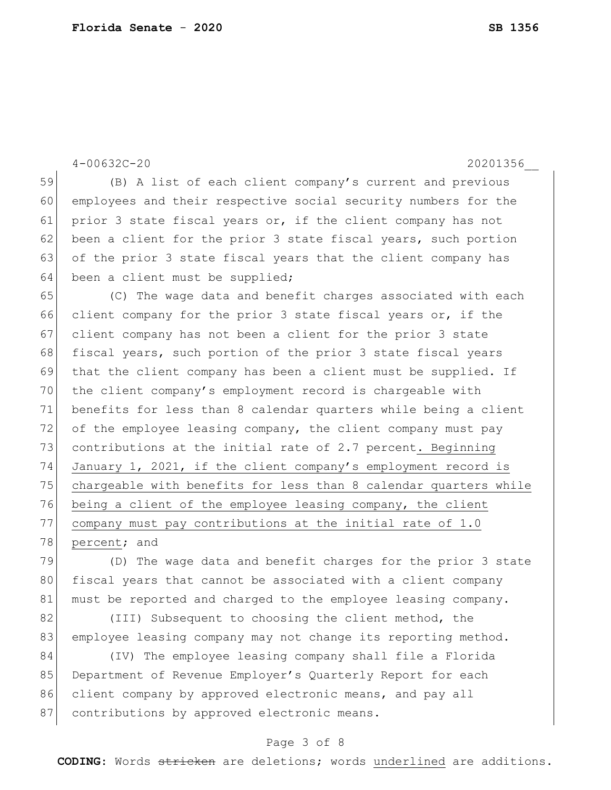4-00632C-20 20201356\_\_ 59 (B) A list of each client company's current and previous 60 employees and their respective social security numbers for the 61 prior 3 state fiscal years or, if the client company has not 62 been a client for the prior 3 state fiscal years, such portion 63 of the prior 3 state fiscal years that the client company has  $64$  been a client must be supplied; 65 (C) The wage data and benefit charges associated with each 66 client company for the prior 3 state fiscal years or, if the 67 client company has not been a client for the prior 3 state 68 fiscal years, such portion of the prior 3 state fiscal years 69 that the client company has been a client must be supplied. If 70 the client company's employment record is chargeable with 71 benefits for less than 8 calendar quarters while being a client 72 of the employee leasing company, the client company must pay 73 contributions at the initial rate of 2.7 percent. Beginning 74 January 1, 2021, if the client company's employment record is 75 chargeable with benefits for less than 8 calendar quarters while 76 being a client of the employee leasing company, the client 77 company must pay contributions at the initial rate of 1.0 78 percent; and 79 (D) The wage data and benefit charges for the prior 3 state 80 fiscal years that cannot be associated with a client company 81 must be reported and charged to the employee leasing company. 82 (III) Subsequent to choosing the client method, the 83 employee leasing company may not change its reporting method. 84 (IV) The employee leasing company shall file a Florida 85 Department of Revenue Employer's Quarterly Report for each 86 client company by approved electronic means, and pay all

87 contributions by approved electronic means.

#### Page 3 of 8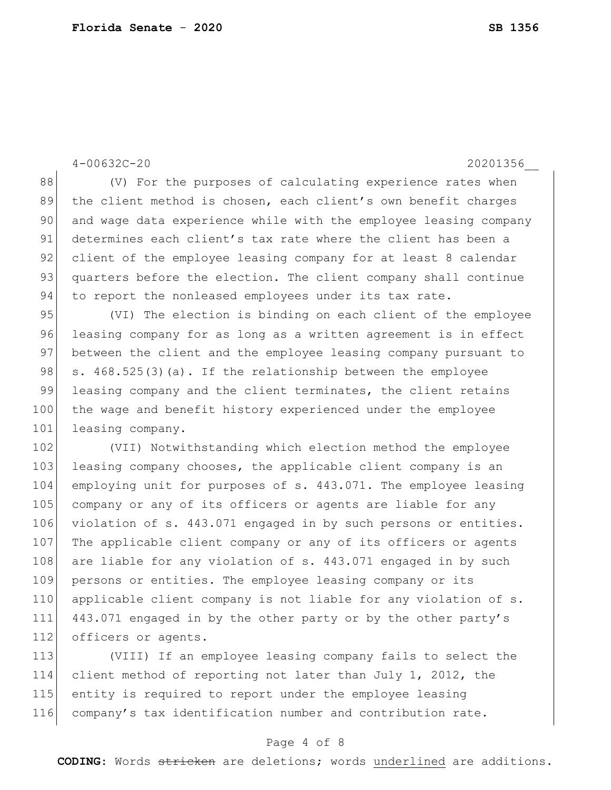4-00632C-20 20201356\_\_ 88 (V) For the purposes of calculating experience rates when 89 the client method is chosen, each client's own benefit charges 90 and wage data experience while with the employee leasing company 91 determines each client's tax rate where the client has been a 92 client of the employee leasing company for at least 8 calendar 93 quarters before the election. The client company shall continue 94 to report the nonleased employees under its tax rate. 95 (VI) The election is binding on each client of the employee 96 leasing company for as long as a written agreement is in effect 97 between the client and the employee leasing company pursuant to 98  $\vert$  s. 468.525(3)(a). If the relationship between the employee 99 leasing company and the client terminates, the client retains 100 the wage and benefit history experienced under the employee 101 leasing company. 102 (VII) Notwithstanding which election method the employee 103 leasing company chooses, the applicable client company is an 104 employing unit for purposes of s. 443.071. The employee leasing 105 company or any of its officers or agents are liable for any 106 violation of s. 443.071 engaged in by such persons or entities. 107 The applicable client company or any of its officers or agents 108 are liable for any violation of s.  $443.071$  engaged in by such 109 persons or entities. The employee leasing company or its 110 applicable client company is not liable for any violation of s. 111 443.071 engaged in by the other party or by the other party's 112 officers or agents.

 (VIII) If an employee leasing company fails to select the client method of reporting not later than July 1, 2012, the entity is required to report under the employee leasing company's tax identification number and contribution rate.

#### Page 4 of 8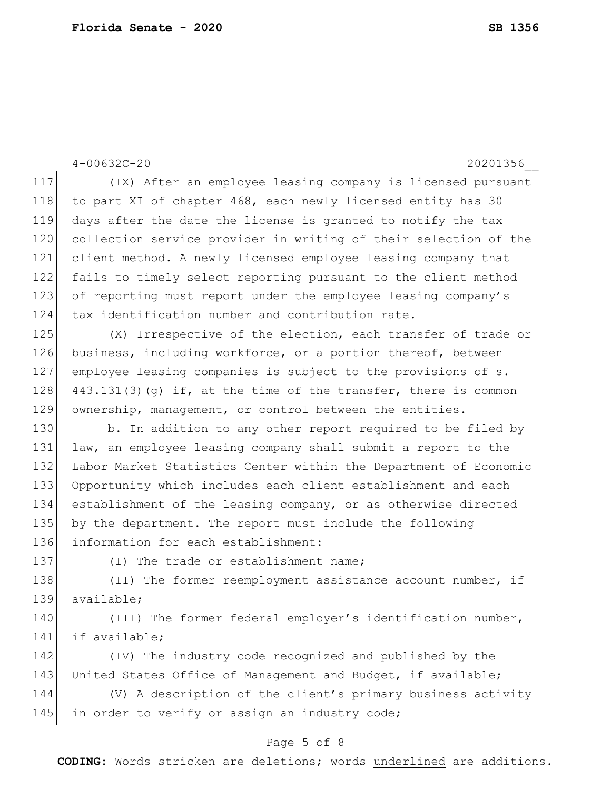4-00632C-20 20201356\_\_ Page 5 of 8 117 (IX) After an employee leasing company is licensed pursuant 118 to part XI of chapter 468, each newly licensed entity has 30 119 days after the date the license is granted to notify the tax 120 collection service provider in writing of their selection of the 121 client method. A newly licensed employee leasing company that 122 fails to timely select reporting pursuant to the client method 123 of reporting must report under the employee leasing company's 124 tax identification number and contribution rate. 125 (X) Irrespective of the election, each transfer of trade or 126 business, including workforce, or a portion thereof, between 127 employee leasing companies is subject to the provisions of s. 128  $443.131(3)(q)$  if, at the time of the transfer, there is common 129 ownership, management, or control between the entities. 130 b. In addition to any other report required to be filed by 131 law, an employee leasing company shall submit a report to the 132 Labor Market Statistics Center within the Department of Economic 133 Opportunity which includes each client establishment and each 134 establishment of the leasing company, or as otherwise directed 135 by the department. The report must include the following 136 information for each establishment: 137 (I) The trade or establishment name; 138 (II) The former reemployment assistance account number, if 139 available; 140 (III) The former federal employer's identification number, 141 if available; 142 (IV) The industry code recognized and published by the 143 United States Office of Management and Budget, if available; 144 (V) A description of the client's primary business activity 145 in order to verify or assign an industry code;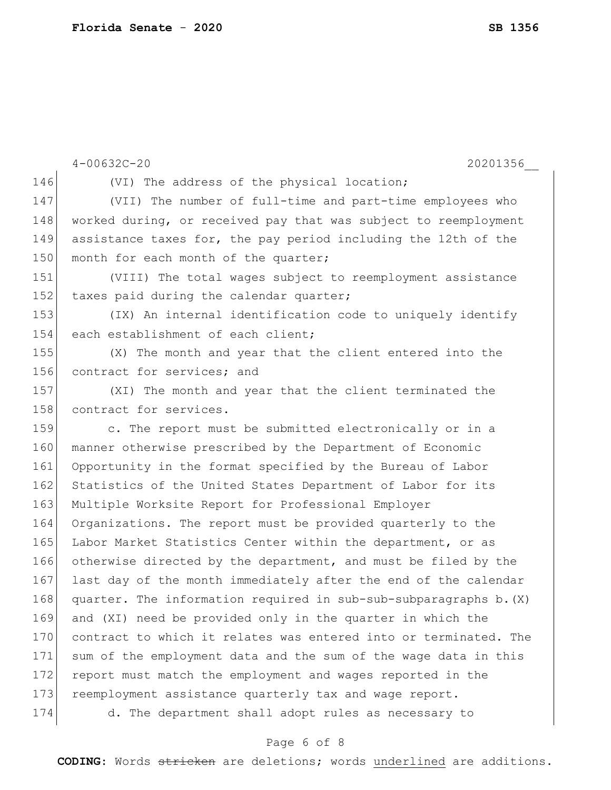```
4-00632C-20 20201356__
146 (VI) The address of the physical location;
147 (VII) The number of full-time and part-time employees who 
148 worked during, or received pay that was subject to reemployment
149 assistance taxes for, the pay period including the 12th of the 
150 month for each month of the quarter;
151 (VIII) The total wages subject to reemployment assistance 
152 taxes paid during the calendar quarter;
153 (IX) An internal identification code to uniquely identify 
154 each establishment of each client;
155 (X) The month and year that the client entered into the 
156 contract for services; and
157 (XI) The month and year that the client terminated the 
158 contract for services.
159 c. The report must be submitted electronically or in a
160 manner otherwise prescribed by the Department of Economic
161 Opportunity in the format specified by the Bureau of Labor 
162 Statistics of the United States Department of Labor for its
163 Multiple Worksite Report for Professional Employer
164 Organizations. The report must be provided quarterly to the 
165 Labor Market Statistics Center within the department, or as
166 otherwise directed by the department, and must be filed by the 
167 last day of the month immediately after the end of the calendar 
168 quarter. The information required in sub-sub-subparagraphs b. (X)169 and (XI) need be provided only in the quarter in which the 
170 contract to which it relates was entered into or terminated. The
171 sum of the employment data and the sum of the wage data in this 
172 report must match the employment and wages reported in the
173 reemployment assistance quarterly tax and wage report.
174 d. The department shall adopt rules as necessary to
```
### Page 6 of 8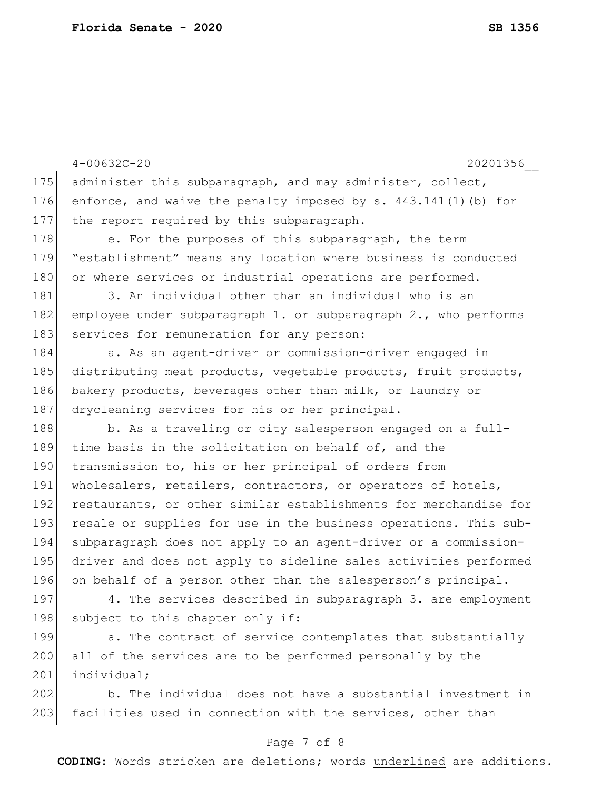|     | $4 - 00632C - 20$<br>20201356                                     |
|-----|-------------------------------------------------------------------|
| 175 | administer this subparagraph, and may administer, collect,        |
| 176 | enforce, and waive the penalty imposed by $s. 443.141(1)$ (b) for |
| 177 | the report required by this subparagraph.                         |
| 178 | e. For the purposes of this subparagraph, the term                |
| 179 | "establishment" means any location where business is conducted    |
| 180 | or where services or industrial operations are performed.         |
| 181 | 3. An individual other than an individual who is an               |
| 182 | employee under subparagraph 1. or subparagraph 2., who performs   |
| 183 | services for remuneration for any person:                         |
| 184 | a. As an agent-driver or commission-driver engaged in             |
| 185 | distributing meat products, vegetable products, fruit products,   |
| 186 | bakery products, beverages other than milk, or laundry or         |
| 187 | drycleaning services for his or her principal.                    |
| 188 | b. As a traveling or city salesperson engaged on a full-          |
| 189 | time basis in the solicitation on behalf of, and the              |
| 190 | transmission to, his or her principal of orders from              |
| 191 | wholesalers, retailers, contractors, or operators of hotels,      |
| 192 | restaurants, or other similar establishments for merchandise for  |
| 193 | resale or supplies for use in the business operations. This sub-  |
| 194 | subparagraph does not apply to an agent-driver or a commission-   |
| 195 | driver and does not apply to sideline sales activities performed  |
| 196 | on behalf of a person other than the salesperson's principal.     |
| 197 | 4. The services described in subparagraph 3. are employment       |
| 198 | subject to this chapter only if:                                  |
| 199 | a. The contract of service contemplates that substantially        |
| 200 | all of the services are to be performed personally by the         |
| 201 | individual;                                                       |

202 b. The individual does not have a substantial investment in 203 facilities used in connection with the services, other than

## Page 7 of 8